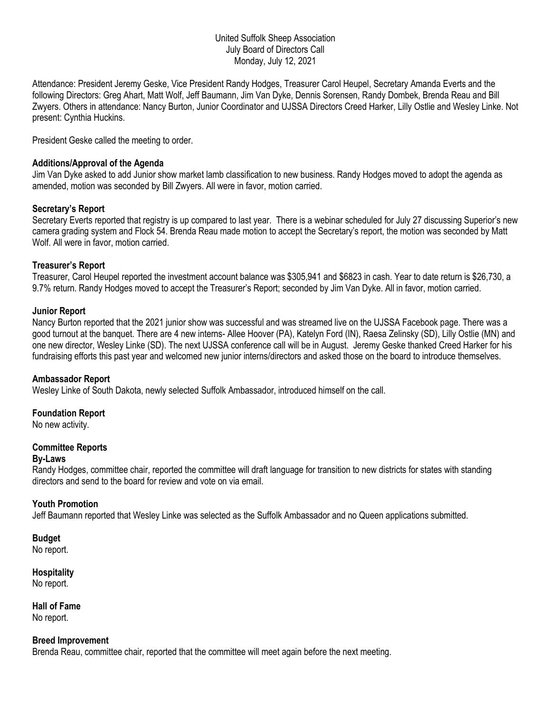## United Suffolk Sheep Association July Board of Directors Call Monday, July 12, 2021

Attendance: President Jeremy Geske, Vice President Randy Hodges, Treasurer Carol Heupel, Secretary Amanda Everts and the following Directors: Greg Ahart, Matt Wolf, Jeff Baumann, Jim Van Dyke, Dennis Sorensen, Randy Dombek, Brenda Reau and Bill Zwyers. Others in attendance: Nancy Burton, Junior Coordinator and UJSSA Directors Creed Harker, Lilly Ostlie and Wesley Linke. Not present: Cynthia Huckins.

President Geske called the meeting to order.

## **Additions/Approval of the Agenda**

Jim Van Dyke asked to add Junior show market lamb classification to new business. Randy Hodges moved to adopt the agenda as amended, motion was seconded by Bill Zwyers. All were in favor, motion carried.

## **Secretary's Report**

Secretary Everts reported that registry is up compared to last year. There is a webinar scheduled for July 27 discussing Superior's new camera grading system and Flock 54. Brenda Reau made motion to accept the Secretary's report, the motion was seconded by Matt Wolf. All were in favor, motion carried.

## **Treasurer's Report**

Treasurer, Carol Heupel reported the investment account balance was \$305,941 and \$6823 in cash. Year to date return is \$26,730, a 9.7% return. Randy Hodges moved to accept the Treasurer's Report; seconded by Jim Van Dyke. All in favor, motion carried.

## **Junior Report**

Nancy Burton reported that the 2021 junior show was successful and was streamed live on the UJSSA Facebook page. There was a good turnout at the banquet. There are 4 new interns- Allee Hoover (PA), Katelyn Ford (IN), Raesa Zelinsky (SD), Lilly Ostlie (MN) and one new director, Wesley Linke (SD). The next UJSSA conference call will be in August. Jeremy Geske thanked Creed Harker for his fundraising efforts this past year and welcomed new junior interns/directors and asked those on the board to introduce themselves.

#### **Ambassador Report**

Wesley Linke of South Dakota, newly selected Suffolk Ambassador, introduced himself on the call.

#### **Foundation Report**

No new activity.

# **Committee Reports**

#### **By-Laws**

Randy Hodges, committee chair, reported the committee will draft language for transition to new districts for states with standing directors and send to the board for review and vote on via email.

#### **Youth Promotion**

Jeff Baumann reported that Wesley Linke was selected as the Suffolk Ambassador and no Queen applications submitted.

## **Budget**

No report.

#### **Hospitality** No report.

**Hall of Fame** No report.

#### **Breed Improvement**

Brenda Reau, committee chair, reported that the committee will meet again before the next meeting.